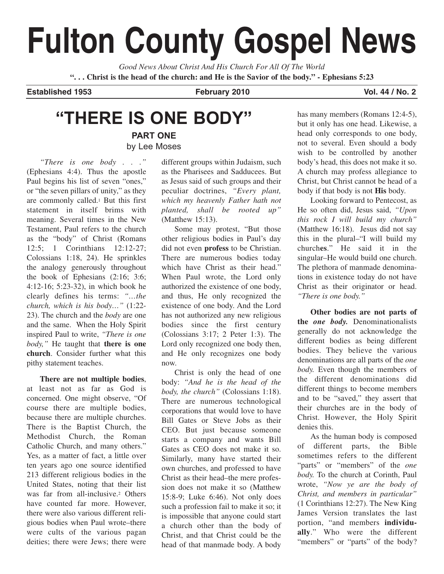# **Fulton County Gospel News**

*Good News About Christ And His Church For All Of The World* **". . . Christ is the head of the church: and He is the Savior of the body." - Ephesians 5:23**

**Established 1953 February 2010 Vol. 44 / No. 2**

## **"THERE IS ONE BODY" PART ONE**

by Lee Moses

*"There is one body . . ."* (Ephesians 4:4). Thus the apostle Paul begins his list of seven "ones," or "the seven pillars of unity," as they are commonly called.1 But this first statement in itself brims with meaning. Several times in the New Testament, Paul refers to the church as the "body" of Christ (Romans 12:5; 1 Corinthians 12:12-27; Colossians 1:18, 24). He sprinkles the analogy generously throughout the book of Ephesians (2:16; 3:6; 4:12-16; 5:23-32), in which book he clearly defines his terms: *"…the church, which is his body…"* (1:22- 23). The church and the *body* are one and the same. When the Holy Spirit inspired Paul to write, *"There is one body,"* He taught that **there is one church**. Consider further what this pithy statement teaches.

**There are not multiple bodies**, at least not as far as God is concerned. One might observe, "Of course there are multiple bodies, because there are multiple churches. There is the Baptist Church, the Methodist Church, the Roman Catholic Church, and many others." Yes, as a matter of fact, a little over ten years ago one source identified 213 different religious bodies in the United States, noting that their list was far from all-inclusive.<sup>2</sup> Others have counted far more. However, there were also various different religious bodies when Paul wrote–there were cults of the various pagan deities; there were Jews; there were

different groups within Judaism, such as the Pharisees and Sadducees. But as Jesus said of such groups and their peculiar doctrines, *"Every plant, which my heavenly Father hath not planted, shall be rooted up"* (Matthew 15:13).

Some may protest, "But those other religious bodies in Paul's day did not even **profess** to be Christian. There are numerous bodies today which have Christ as their head." When Paul wrote, the Lord only authorized the existence of one body, and thus, He only recognized the existence of one body. And the Lord has not authorized any new religious bodies since the first century (Colossians 3:17; 2 Peter 1:3). The Lord only recognized one body then, and He only recognizes one body now.

Christ is only the head of one body: *"And he is the head of the body, the church"* (Colossians 1:18). There are numerous technological corporations that would love to have Bill Gates or Steve Jobs as their CEO. But just because someone starts a company and wants Bill Gates as CEO does not make it so. Similarly, many have started their own churches, and professed to have Christ as their head–the mere profession does not make it so (Matthew 15:8-9; Luke 6:46). Not only does such a profession fail to make it so; it is impossible that anyone could start a church other than the body of Christ, and that Christ could be the head of that manmade body. A body

has many members (Romans 12:4-5), but it only has one head. Likewise, a head only corresponds to one body, not to several. Even should a body wish to be controlled by another body's head, this does not make it so. A church may profess allegiance to Christ, but Christ cannot be head of a body if that body is not **His** body.

Looking forward to Pentecost, as He so often did, Jesus said, *"Upon this rock I will build my church"* (Matthew 16:18). Jesus did not say this in the plural–"I will build my church**es**." He said it in the singular–He would build one church. The plethora of manmade denominations in existence today do not have Christ as their originator or head. *"There is one body."*

**Other bodies are not parts of the** *one body.* Denominationalists generally do not acknowledge the different bodies as being different bodies. They believe the various denominations are all parts of the *one body.* Even though the members of the different denominations did different things to become members and to be "saved," they assert that their churches are in the body of Christ. However, the Holy Spirit denies this.

As the human body is composed of different parts, the Bible sometimes refers to the different "parts" or "members" of the *one body.* To the church at Corinth, Paul wrote, *"Now ye are the body of Christ, and members in particular"* (1 Corinthians 12:27). The New King James Version translates the last portion, "and members **individually**." Who were the different "members" or "parts" of the body?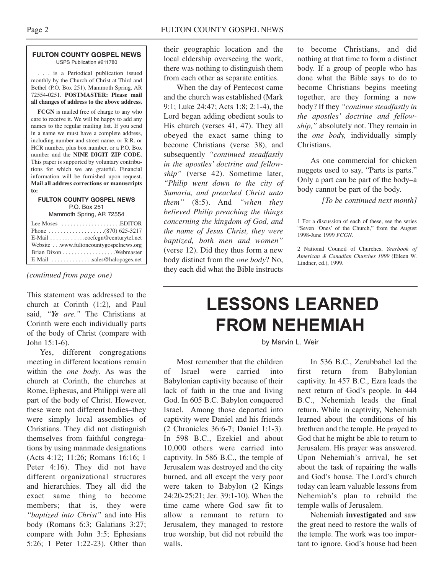#### **FULTON COUNTY GOSPEL NEWS** USPS Publication #211780

. . . is a Periodical publication issued monthly by the Church of Christ at Third and Bethel (P.O. Box 251), Mammoth Spring, AR 72554-0251. **POSTMASTER: Please mail all changes of address to the above address.**

**FCGN** is mailed free of charge to any who care to receive it. We will be happy to add any names to the regular mailing list. If you send in a name we must have a complete address, including number and street name, or R.R. or HCR number, plus box number, or a P.O. Box number and the **NINE DIGIT ZIP CODE**. This paper is supported by voluntary contributions for which we are grateful. Financial information will be furnished upon request. **Mail all address corrections or manuscripts to:**

## **FULTON COUNTY GOSPEL NEWS** P.O. Box 251

Mammoth Spring, AR 72554

| Lee Moses $\dots\dots\dots\dots\dots\dots$ . EDITOR |  |
|-----------------------------------------------------|--|
|                                                     |  |
|                                                     |  |
| Website www.fultoncountygospelnews.org              |  |
|                                                     |  |
| $E$ -Mail $\ldots$ sales@halopages.net              |  |

*(continued from page one)*

This statement was addressed to the church at Corinth (1:2), and Paul said, *"Ye are."* The Christians at Corinth were each individually parts of the body of Christ (compare with John 15:1-6).

Yes, different congregations meeting in different locations remain within the *one body*. As was the church at Corinth, the churches at Rome, Ephesus, and Philippi were all part of the body of Christ. However, these were not different bodies–they were simply local assemblies of Christians. They did not distinguish themselves from faithful congregations by using manmade designations (Acts 4:12; 11:26; Romans 16:16; 1 Peter 4:16). They did not have different organizational structures and hierarchies. They all did the exact same thing to become members; that is, they were *"baptized into Christ"* and into His body (Romans 6:3; Galatians 3:27; compare with John 3:5; Ephesians 5:26; 1 Peter 1:22-23). Other than their geographic location and the local eldership overseeing the work, there was nothing to distinguish them from each other as separate entities.

When the day of Pentecost came and the church was established (Mark 9:1; Luke 24:47; Acts 1:8; 2:1-4), the Lord began adding obedient souls to His church (verses 41, 47). They all obeyed the exact same thing to become Christians (verse 38), and subsequently *"continued steadfastly in the apostles' doctrine and fellowship"* (verse 42). Sometime later, *"Philip went down to the city of Samaria, and preached Christ unto them"* (8:5). And *"when they believed Philip preaching the things concerning the kingdom of God, and the name of Jesus Christ, they were baptized, both men and women"* (verse 12). Did they thus form a new body distinct from the *one body*? No, they each did what the Bible instructs

to become Christians, and did nothing at that time to form a distinct body. If a group of people who has done what the Bible says to do to become Christians begins meeting together, are they forming a new body? If they *"continue steadfastly in the apostles' doctrine and fellowship,"* absolutely not. They remain in the *one body,* individually simply Christians.

As one commercial for chicken nuggets used to say, "Parts is parts." Only a part can be part of the body–a body cannot be part of the body.

*[To be continued next month]*

1 For a discussion of each of these, see the series "Seven 'Ones' of the Church," from the August 1998-June 1999 *FCGN*.

2 National Council of Churches, *Yearbook of American & Canadian Churches 1999* (Eileen W. Lindner, ed.), 1999.

## **LESSONS LEARNED FROM NEHEMIAH**

by Marvin L. Weir

Most remember that the children of Israel were carried into Babylonian captivity because of their lack of faith in the true and living God. In 605 B.C. Babylon conquered Israel. Among those deported into captivity were Daniel and his friends (2 Chronicles 36:6-7; Daniel 1:1-3). In 598 B.C., Ezekiel and about 10,000 others were carried into captivity. In 586 B.C., the temple of Jerusalem was destroyed and the city burned, and all except the very poor were taken to Babylon (2 Kings 24:20-25:21; Jer. 39:1-10). When the time came where God saw fit to allow a remnant to return to Jerusalem, they managed to restore true worship, but did not rebuild the walls.

In 536 B.C., Zerubbabel led the first return from Babylonian captivity. In 457 B.C., Ezra leads the next return of God's people. In 444 B.C., Nehemiah leads the final return. While in captivity, Nehemiah learned about the conditions of his brethren and the temple. He prayed to God that he might be able to return to Jerusalem. His prayer was answered. Upon Nehemiah's arrival, he set about the task of repairing the walls and God's house. The Lord's church today can learn valuable lessons from Nehemiah's plan to rebuild the temple walls of Jerusalem.

Nehemiah **investigated** and saw the great need to restore the walls of the temple. The work was too important to ignore. God's house had been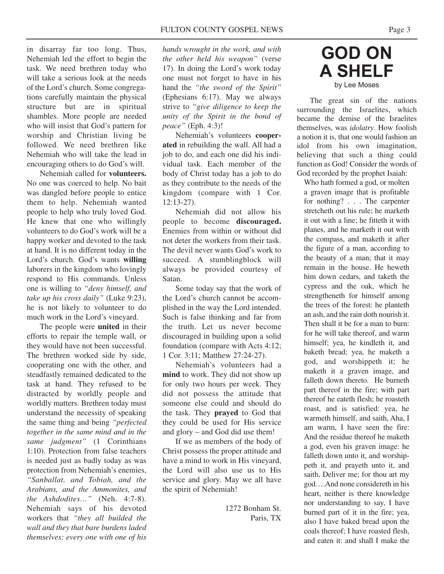in disarray far too long. Thus, Nehemiah led the effort to begin the task. We need brethren today who will take a serious look at the needs of the Lord's church. Some congregations carefully maintain the physical structure but are in spiritual shambles. More people are needed who will insist that God's pattern for worship and Christian living be followed. We need brethren like Nehemiah who will take the lead in encouraging others to do God's will.

Nehemiah called for **volunteers.** No one was coerced to help. No bait was dangled before people to entice them to help. Nehemiah wanted people to help who truly loved God. He knew that one who willingly volunteers to do God's work will be a happy worker and devoted to the task at hand. It is no different today in the Lord's church. God's wants **willing** laborers in the kingdom who lovingly respond to His commands. Unless one is willing to *"deny himself, and take up his cross daily"* (Luke 9:23), he is not likely to volunteer to do much work in the Lord's vineyard.

The people were **united** in their efforts to repair the temple wall, or they would have not been successful. The brethren worked side by side, cooperating one with the other, and steadfastly remained dedicated to the task at hand. They refused to be distracted by worldly people and worldly matters. Brethren today must understand the necessity of speaking the same thing and being *"perfected together in the same mind and in the same judgment"* (1 Corinthians 1:10). Protection from false teachers is needed just as badly today as was protection from Nehemiah's enemies, *"Sanballat, and Tobiah, and the Arabians, and the Ammonites, and the Ashdodites…"* (Neh. 4:7-8). Nehemiah says of his devoted workers that *"they all builded the wall and they that bare burdens laded themselves; every one with one of his*

*hands wrought in the work, and with the other held his weapon"* (verse 17). In doing the Lord's work today one must not forget to have in his hand the *"the sword of the Spirit"* (Ephesians 6:17). May we always strive to *"give diligence to keep the unity of the Spirit in the bond of peace"* (Eph. 4:3)!

Nehemiah's volunteers **cooperated** in rebuilding the wall. All had a job to do, and each one did his individual task. Each member of the body of Christ today has a job to do as they contribute to the needs of the kingdom (compare with 1 Cor. 12:13-27).

Nehemiah did not allow his people to become **discouraged.** Enemies from within or without did not deter the workers from their task. The devil never wants God's work to succeed. A stumblingblock will always be provided courtesy of Satan.

Some today say that the work of the Lord's church cannot be accomplished in the way the Lord intended. Such is false thinking and far from the truth. Let us never become discouraged in building upon a solid foundation (compare with Acts 4:12; 1 Cor. 3:11; Matthew 27:24-27).

Nehemiah's volunteers had a **mind** to work. They did not show up for only two hours per week. They did not possess the attitude that someone else could and should do the task. They **prayed** to God that they could be used for His service and glory – and God did use them!

If we as members of the body of Christ possess the proper attitude and have a mind to work in His vineyard, the Lord will also use us to His service and glory. May we all have the spirit of Nehemiah!

> 1272 Bonham St. Paris, TX

## **GOD ON A SHELF** by Lee Moses

The great sin of the nations surrounding the Israelites, which became the demise of the Israelites themselves, was *idolatry*. How foolish a notion it is, that one would fashion an idol from his own imagination, believing that such a thing could function as God! Consider the words of God recorded by the prophet Isaiah:

Who hath formed a god, or molten a graven image that is profitable for nothing? . . . The carpenter stretcheth out his rule; he marketh it out with a line; he fitteth it with planes, and he marketh it out with the compass, and maketh it after the figure of a man, according to the beauty of a man; that it may remain in the house. He heweth him down cedars, and taketh the cypress and the oak, which he strengtheneth for himself among the trees of the forest: he planteth an ash, and the rain doth nourish it. Then shall it be for a man to burn: for he will take thereof, and warm himself; yea, he kindleth it, and baketh bread; yea, he maketh a god, and worshippeth it; he maketh it a graven image, and falleth down thereto. He burneth part thereof in the fire; with part thereof he eateth flesh; he roasteth roast, and is satisfied: yea, he warmeth himself, and saith, Aha, I am warm, I have seen the fire: And the residue thereof he maketh a god, even his graven image: he falleth down unto it, and worshippeth it, and prayeth unto it, and saith, Deliver me; for thou art my god….And none considereth in his heart, neither is there knowledge nor understanding to say, I have burned part of it in the fire; yea, also I have baked bread upon the coals thereof; I have roasted flesh, and eaten it: and shall I make the